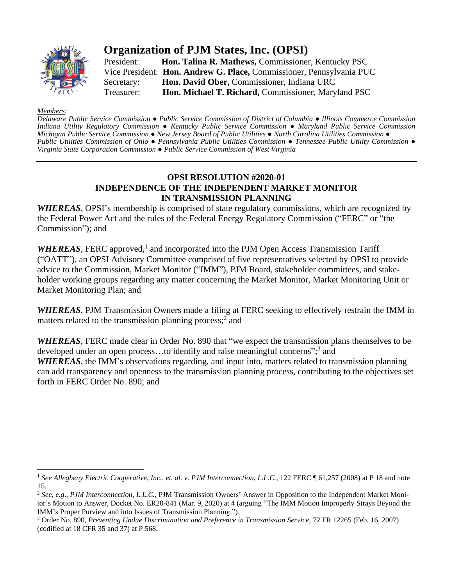

## **Organization of PJM States, Inc. (OPSI)**

President: **Hon. Talina R. Mathews,** Commissioner, Kentucky PSC Vice President: **Hon. Andrew G. Place,** Commissioner, Pennsylvania PUC Secretary: **Hon. David Ober,** Commissioner, Indiana URC Treasurer: **Hon. Michael T. Richard,** Commissioner, Maryland PSC

## *Members:*

Delaware Public Service Commission • Public Service Commission of District of Columbia • Illinois Commerce Commission *Indiana Utility Regulatory Commission ● Kentucky Public Service Commission ● Maryland Public Service Commission* Michigan Public Service Commission • New Jersey Board of Public Utilities • North Carolina Utilities Commission • Public Utilities Commission of Ohio • Pennsylvania Public Utilities Commission • Tennessee Public Utility Commission • *Virginia State Corporation Commission ● Public Service Commission of West Virginia*

## **OPSI RESOLUTION #2020-01 INDEPENDENCE OF THE INDEPENDENT MARKET MONITOR IN TRANSMISSION PLANNING**

*WHEREAS*, OPSI's membership is comprised of state regulatory commissions, which are recognized by the Federal Power Act and the rules of the Federal Energy Regulatory Commission ("FERC" or "the Commission"); and

WHEREAS, FERC approved,<sup>1</sup> and incorporated into the PJM Open Access Transmission Tariff ("OATT"), an OPSI Advisory Committee comprised of five representatives selected by OPSI to provide advice to the Commission, Market Monitor ("IMM"), PJM Board, stakeholder committees, and stakeholder working groups regarding any matter concerning the Market Monitor, Market Monitoring Unit or Market Monitoring Plan; and

*WHEREAS*, PJM Transmission Owners made a filing at FERC seeking to effectively restrain the IMM in matters related to the transmission planning process;<sup>2</sup> and

*WHEREAS*, FERC made clear in Order No. 890 that "we expect the transmission plans themselves to be developed under an open process...to identify and raise meaningful concerns";<sup>3</sup> and *WHEREAS*, the IMM's observations regarding, and input into, matters related to transmission planning can add transparency and openness to the transmission planning process, contributing to the objectives set forth in FERC Order No. 890; and

<sup>1</sup> *See Allegheny Electric Cooperative, Inc., et. al. v. PJM Interconnection, L.L.C.*, 122 FERC ¶ 61,257 (2008) at P 18 and note 15.

<sup>2</sup> *See, e.g*., *PJM Interconnection, L.L.C.*, PJM Transmission Owners' Answer in Opposition to the Independent Market Monitor's Motion to Answer, Docket No. ER20-841 (Mar. 9, 2020) at 4 (arguing "The IMM Motion Improperly Strays Beyond the IMM's Proper Purview and into Issues of Transmission Planning.").

<sup>3</sup> Order No. 890, *Preventing Undue Discrimination and Preference in Transmission Service*, 72 FR 12265 (Feb. 16, 2007) (codified at 18 CFR 35 and 37) at P 568.